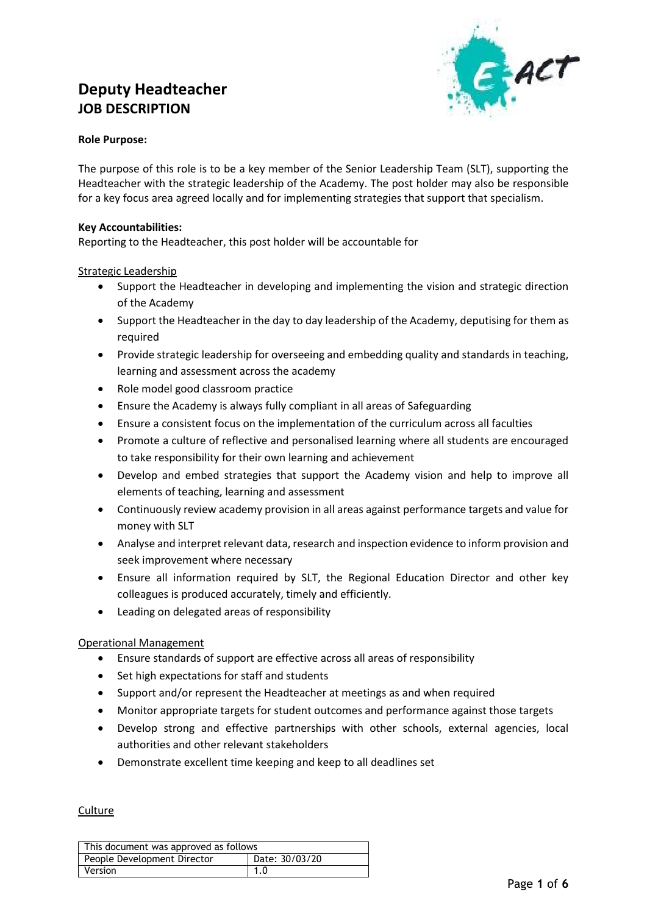## **Deputy Headteacher JOB DESCRIPTION**



#### **Role Purpose:**

The purpose of this role is to be a key member of the Senior Leadership Team (SLT), supporting the Headteacher with the strategic leadership of the Academy. The post holder may also be responsible for a key focus area agreed locally and for implementing strategies that support that specialism.

#### **Key Accountabilities:**

Reporting to the Headteacher, this post holder will be accountable for

#### Strategic Leadership

- Support the Headteacher in developing and implementing the vision and strategic direction of the Academy
- Support the Headteacher in the day to day leadership of the Academy, deputising for them as required
- Provide strategic leadership for overseeing and embedding quality and standards in teaching, learning and assessment across the academy
- Role model good classroom practice
- Ensure the Academy is always fully compliant in all areas of Safeguarding
- Ensure a consistent focus on the implementation of the curriculum across all faculties
- Promote a culture of reflective and personalised learning where all students are encouraged to take responsibility for their own learning and achievement
- Develop and embed strategies that support the Academy vision and help to improve all elements of teaching, learning and assessment
- Continuously review academy provision in all areas against performance targets and value for money with SLT
- Analyse and interpret relevant data, research and inspection evidence to inform provision and seek improvement where necessary
- Ensure all information required by SLT, the Regional Education Director and other key colleagues is produced accurately, timely and efficiently.
- Leading on delegated areas of responsibility

#### Operational Management

- Ensure standards of support are effective across all areas of responsibility
- Set high expectations for staff and students
- Support and/or represent the Headteacher at meetings as and when required
- Monitor appropriate targets for student outcomes and performance against those targets
- Develop strong and effective partnerships with other schools, external agencies, local authorities and other relevant stakeholders
- Demonstrate excellent time keeping and keep to all deadlines set

#### **Culture**

| This document was approved as follows         |  |  |  |  |
|-----------------------------------------------|--|--|--|--|
| Date: 30/03/20<br>People Development Director |  |  |  |  |
| Version<br>.1.0                               |  |  |  |  |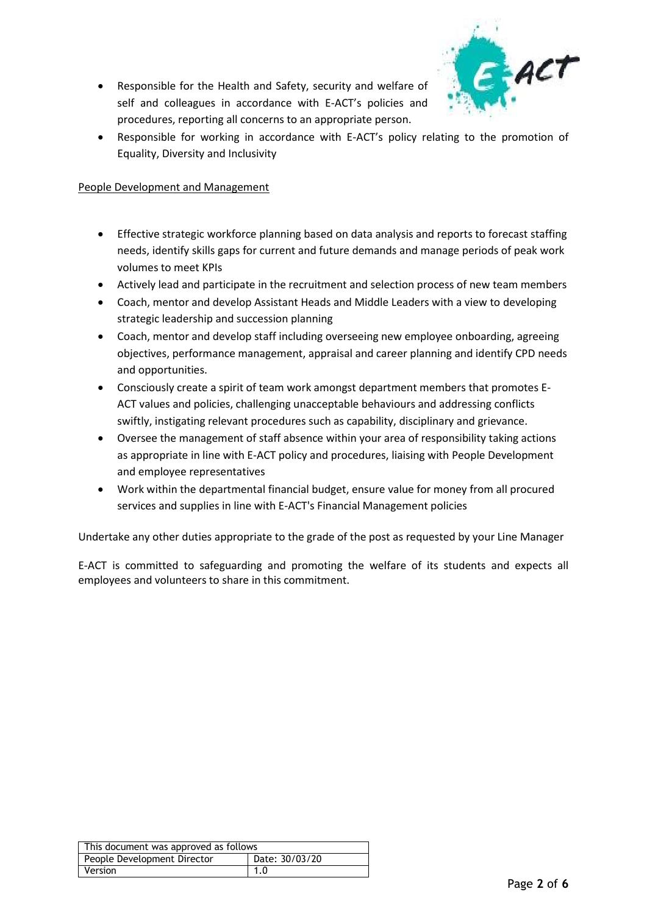Responsible for the Health and Safety, security and welfare of self and colleagues in accordance with E-ACT's policies and procedures, reporting all concerns to an appropriate person.



 Responsible for working in accordance with E-ACT's policy relating to the promotion of Equality, Diversity and Inclusivity

#### People Development and Management

- Effective strategic workforce planning based on data analysis and reports to forecast staffing needs, identify skills gaps for current and future demands and manage periods of peak work volumes to meet KPIs
- Actively lead and participate in the recruitment and selection process of new team members
- Coach, mentor and develop Assistant Heads and Middle Leaders with a view to developing strategic leadership and succession planning
- Coach, mentor and develop staff including overseeing new employee onboarding, agreeing objectives, performance management, appraisal and career planning and identify CPD needs and opportunities.
- Consciously create a spirit of team work amongst department members that promotes E-ACT values and policies, challenging unacceptable behaviours and addressing conflicts swiftly, instigating relevant procedures such as capability, disciplinary and grievance.
- Oversee the management of staff absence within your area of responsibility taking actions as appropriate in line with E-ACT policy and procedures, liaising with People Development and employee representatives
- Work within the departmental financial budget, ensure value for money from all procured services and supplies in line with E-ACT's Financial Management policies

Undertake any other duties appropriate to the grade of the post as requested by your Line Manager

E-ACT is committed to safeguarding and promoting the welfare of its students and expects all employees and volunteers to share in this commitment.

| This document was approved as follows         |  |  |  |  |
|-----------------------------------------------|--|--|--|--|
| Date: 30/03/20<br>People Development Director |  |  |  |  |
| Version<br>1.0                                |  |  |  |  |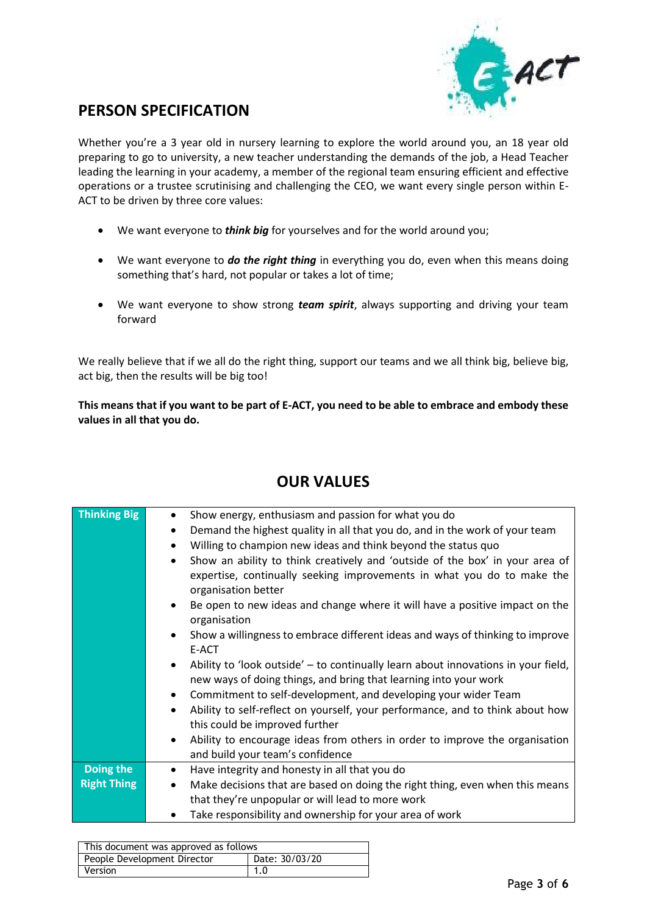

## **PERSON SPECIFICATION**

Whether you're a 3 year old in nursery learning to explore the world around you, an 18 year old preparing to go to university, a new teacher understanding the demands of the job, a Head Teacher leading the learning in your academy, a member of the regional team ensuring efficient and effective operations or a trustee scrutinising and challenging the CEO, we want every single person within E-ACT to be driven by three core values:

- We want everyone to *think big* for yourselves and for the world around you;
- We want everyone to *do the right thing* in everything you do, even when this means doing something that's hard, not popular or takes a lot of time;
- We want everyone to show strong *team spirit*, always supporting and driving your team forward

We really believe that if we all do the right thing, support our teams and we all think big, believe big, act big, then the results will be big too!

**This means that if you want to be part of E-ACT, you need to be able to embrace and embody these values in all that you do.**

| <b>Thinking Big</b> | Show energy, enthusiasm and passion for what you do<br>Demand the highest quality in all that you do, and in the work of your team<br>$\bullet$<br>Willing to champion new ideas and think beyond the status quo<br>$\bullet$<br>Show an ability to think creatively and 'outside of the box' in your area of<br>$\bullet$<br>expertise, continually seeking improvements in what you do to make the<br>organisation better<br>Be open to new ideas and change where it will have a positive impact on the<br>$\bullet$<br>organisation<br>Show a willingness to embrace different ideas and ways of thinking to improve<br>$\bullet$<br>E-ACT<br>Ability to 'look outside' - to continually learn about innovations in your field,<br>new ways of doing things, and bring that learning into your work<br>Commitment to self-development, and developing your wider Team<br>$\bullet$<br>Ability to self-reflect on yourself, your performance, and to think about how<br>$\bullet$<br>this could be improved further<br>Ability to encourage ideas from others in order to improve the organisation<br>$\bullet$<br>and build your team's confidence |
|---------------------|--------------------------------------------------------------------------------------------------------------------------------------------------------------------------------------------------------------------------------------------------------------------------------------------------------------------------------------------------------------------------------------------------------------------------------------------------------------------------------------------------------------------------------------------------------------------------------------------------------------------------------------------------------------------------------------------------------------------------------------------------------------------------------------------------------------------------------------------------------------------------------------------------------------------------------------------------------------------------------------------------------------------------------------------------------------------------------------------------------------------------------------------------------|
|                     |                                                                                                                                                                                                                                                                                                                                                                                                                                                                                                                                                                                                                                                                                                                                                                                                                                                                                                                                                                                                                                                                                                                                                        |
| Doing the           | Have integrity and honesty in all that you do<br>$\bullet$                                                                                                                                                                                                                                                                                                                                                                                                                                                                                                                                                                                                                                                                                                                                                                                                                                                                                                                                                                                                                                                                                             |
| <b>Right Thing</b>  | Make decisions that are based on doing the right thing, even when this means<br>that they're unpopular or will lead to more work                                                                                                                                                                                                                                                                                                                                                                                                                                                                                                                                                                                                                                                                                                                                                                                                                                                                                                                                                                                                                       |
|                     | Take responsibility and ownership for your area of work                                                                                                                                                                                                                                                                                                                                                                                                                                                                                                                                                                                                                                                                                                                                                                                                                                                                                                                                                                                                                                                                                                |
|                     |                                                                                                                                                                                                                                                                                                                                                                                                                                                                                                                                                                                                                                                                                                                                                                                                                                                                                                                                                                                                                                                                                                                                                        |

## **OUR VALUES**

| This document was approved as follows         |  |  |  |  |
|-----------------------------------------------|--|--|--|--|
| Date: 30/03/20<br>People Development Director |  |  |  |  |
| <b>Version</b><br>1.0                         |  |  |  |  |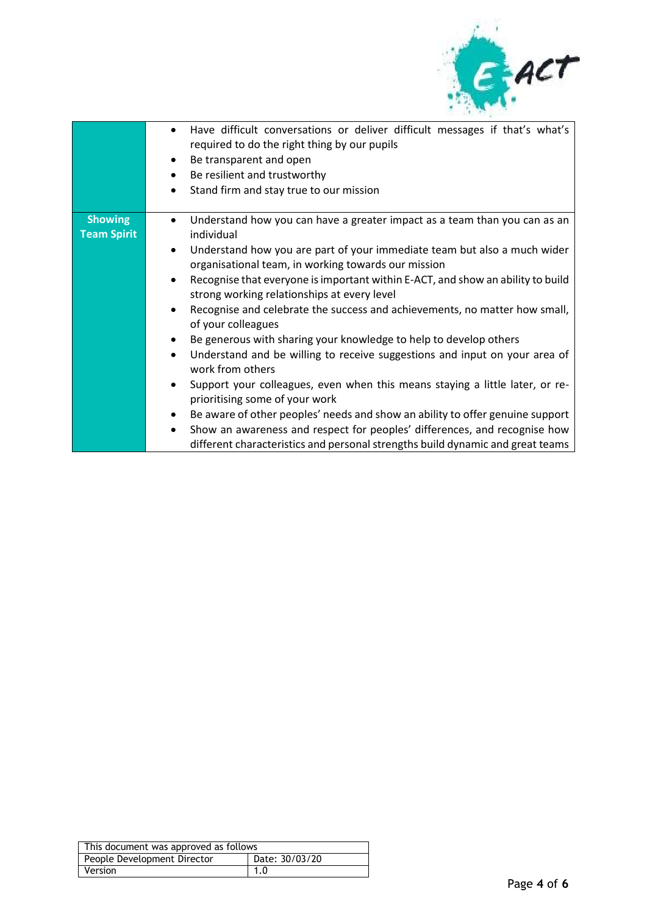

|                                      | Have difficult conversations or deliver difficult messages if that's what's<br>$\bullet$<br>required to do the right thing by our pupils<br>Be transparent and open<br>Be resilient and trustworthy<br>$\bullet$<br>Stand firm and stay true to our mission<br>$\bullet$                                                                                                                                                                                                                                                                                                                                                                                                                                                                                                                                                                                                                                                                                                                                                            |
|--------------------------------------|-------------------------------------------------------------------------------------------------------------------------------------------------------------------------------------------------------------------------------------------------------------------------------------------------------------------------------------------------------------------------------------------------------------------------------------------------------------------------------------------------------------------------------------------------------------------------------------------------------------------------------------------------------------------------------------------------------------------------------------------------------------------------------------------------------------------------------------------------------------------------------------------------------------------------------------------------------------------------------------------------------------------------------------|
| <b>Showing</b><br><b>Team Spirit</b> | Understand how you can have a greater impact as a team than you can as an<br>individual<br>Understand how you are part of your immediate team but also a much wider<br>$\bullet$<br>organisational team, in working towards our mission<br>Recognise that everyone is important within E-ACT, and show an ability to build<br>strong working relationships at every level<br>Recognise and celebrate the success and achievements, no matter how small,<br>of your colleagues<br>Be generous with sharing your knowledge to help to develop others<br>Understand and be willing to receive suggestions and input on your area of<br>work from others<br>Support your colleagues, even when this means staying a little later, or re-<br>prioritising some of your work<br>Be aware of other peoples' needs and show an ability to offer genuine support<br>Show an awareness and respect for peoples' differences, and recognise how<br>$\bullet$<br>different characteristics and personal strengths build dynamic and great teams |

| This document was approved as follows         |  |  |  |  |
|-----------------------------------------------|--|--|--|--|
| Date: 30/03/20<br>People Development Director |  |  |  |  |
| 1.0<br>Version                                |  |  |  |  |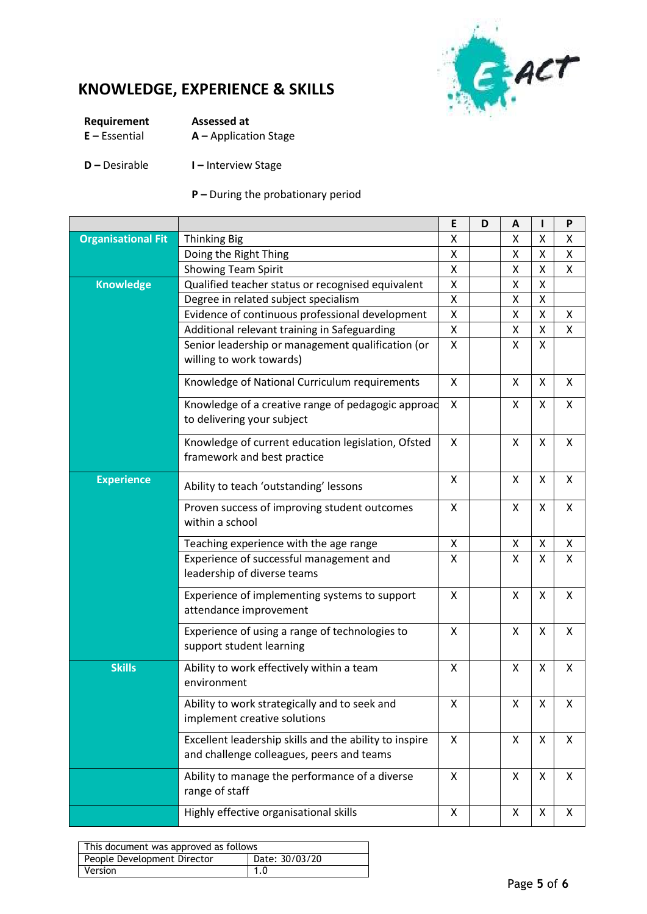

# **KNOWLEDGE, EXPERIENCE & SKILLS**

| Requirement      | Assessed at             |
|------------------|-------------------------|
| $E - E$ ssential | $A -$ Application Stage |

### **D –** Desirable **I –** Interview Stage

### **P –** During the probationary period

|                           |                                                                                                     | E                  | D | A                  | ı                  | P |
|---------------------------|-----------------------------------------------------------------------------------------------------|--------------------|---|--------------------|--------------------|---|
| <b>Organisational Fit</b> | <b>Thinking Big</b>                                                                                 | X                  |   | Χ                  | X                  | Χ |
|                           | Doing the Right Thing                                                                               | X                  |   | Χ                  | X                  | X |
|                           | <b>Showing Team Spirit</b>                                                                          | $\pmb{\mathsf{X}}$ |   | Χ                  | $\pmb{\mathsf{X}}$ | Χ |
| <b>Knowledge</b>          | Qualified teacher status or recognised equivalent                                                   | X                  |   | Χ                  | X                  |   |
|                           | Degree in related subject specialism                                                                | $\pmb{\mathsf{X}}$ |   | Χ                  | X                  |   |
|                           | Evidence of continuous professional development                                                     | $\pmb{\mathsf{X}}$ |   | Χ                  | $\pmb{\mathsf{X}}$ | X |
|                           | Additional relevant training in Safeguarding                                                        | Χ                  |   | X                  | X                  | Χ |
|                           | Senior leadership or management qualification (or<br>willing to work towards)                       | X                  |   | X                  | X                  |   |
|                           | Knowledge of National Curriculum requirements                                                       | X                  |   | X                  | X                  | X |
|                           | Knowledge of a creative range of pedagogic approad<br>to delivering your subject                    | X                  |   | X                  | X                  | X |
|                           | Knowledge of current education legislation, Ofsted<br>framework and best practice                   | X                  |   | X                  | X                  | X |
| <b>Experience</b>         | Ability to teach 'outstanding' lessons                                                              | X                  |   | X                  | X                  | X |
|                           | Proven success of improving student outcomes<br>within a school                                     | X                  |   | X                  | X                  | X |
|                           | Teaching experience with the age range                                                              | X                  |   | Χ                  | X                  | X |
|                           | Experience of successful management and<br>leadership of diverse teams                              | X                  |   | X                  | X                  | X |
|                           | Experience of implementing systems to support<br>attendance improvement                             | X                  |   | X                  | X                  | X |
|                           | Experience of using a range of technologies to<br>support student learning                          | X                  |   | X                  | X                  | X |
| <b>Skills</b>             | Ability to work effectively within a team<br>environment                                            | X                  |   | X                  | X                  | X |
|                           | Ability to work strategically and to seek and<br>implement creative solutions                       | $\mathsf X$        |   | $\pmb{\mathsf{X}}$ | $\pmb{\mathsf{X}}$ | Χ |
|                           | Excellent leadership skills and the ability to inspire<br>and challenge colleagues, peers and teams | X                  |   | X                  | X                  | X |
|                           | Ability to manage the performance of a diverse<br>range of staff                                    | X                  |   | X                  | X                  | X |
|                           | Highly effective organisational skills                                                              | X                  |   | X                  | X                  | X |

| This document was approved as follows         |             |  |  |  |
|-----------------------------------------------|-------------|--|--|--|
| Date: 30/03/20<br>People Development Director |             |  |  |  |
| <b>Version</b>                                | $\vert$ 1.0 |  |  |  |